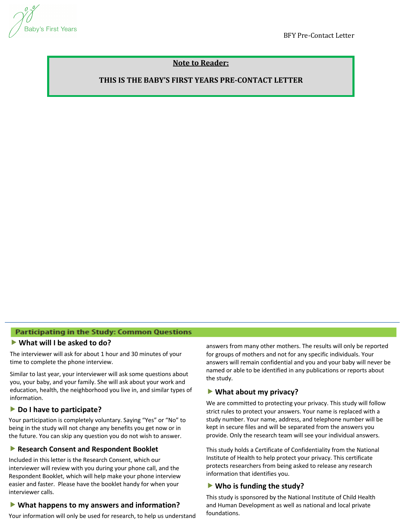

BFY Pre-Contact Letter

# **Note to Reader:**

## **THIS IS THE BABY'S FIRST YEARS PRE-CONTACT LETTER**

### Participating in the Study: Common Questions

#### **What will I be asked to do?**

The interviewer will ask for about 1 hour and 30 minutes of your time to complete the phone interview.

Similar to last year, your interviewer will ask some questions about you, your baby, and your family. She will ask about your work and education, health, the neighborhood you live in, and similar types of information.

### **▶ Do I have to participate?**

Your participation is completely voluntary. Saying "Yes" or "No" to being in the study will not change any benefits you get now or in the future. You can skip any question you do not wish to answer.

# **▶ Research Consent and Respondent Booklet**

**Included in this letter is the Research Consent, which our**<br>interviewer will review with you during your phone call, and Respondent Booklet, which will help make your phone interview<br>easier and faster. Please have the booklet handy for when your interviewer will review with you during your phone call, and the Respondent Booklet, which will help make your phone interview interviewer calls.

# **• What happens to my answers and information?**

Your information will only be used for research, to help us understand

answers from many other mothers. The results will only be reported for groups of mothers and not for any specific individuals. Your answers will remain confidential and you and your baby will never be named or able to be identified in any publications or reports about the study.

### **What about my privacy?**

We are committed to protecting your privacy. This study will follow strict rules to protect your answers. Your name is replaced with a study number. Your name, address, and telephone number will be kept in secure files and will be separated from the answers you provide. Only the research team will see your individual answers.

This study holds a Certificate of Confidentiality from the National Institute of Health to help protect your privacy. This certificate protects researchers from being asked to release any research information that identifies you.

### **Who is funding the study?**

This study is sponsored by the National Institute of Child Health and Human Development as well as national and local private foundations.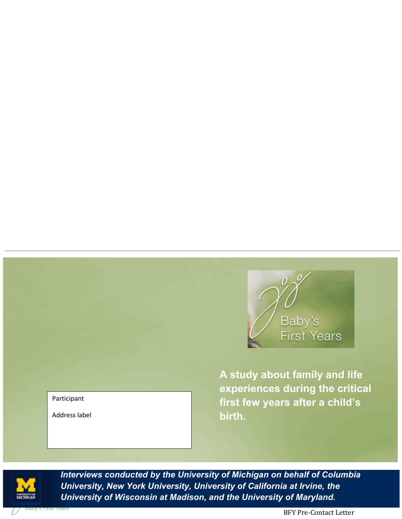

**A study about family and life experiences during the critical first few years after a child's birth.**



*Interviews conducted by the University of Michigan on behalf of Columbia University, New York University, University of California at Irvine, the University of Wisconsin at Madison, and the University of Maryland.*

Participant

Address label

BFY Pre-Contact Letter